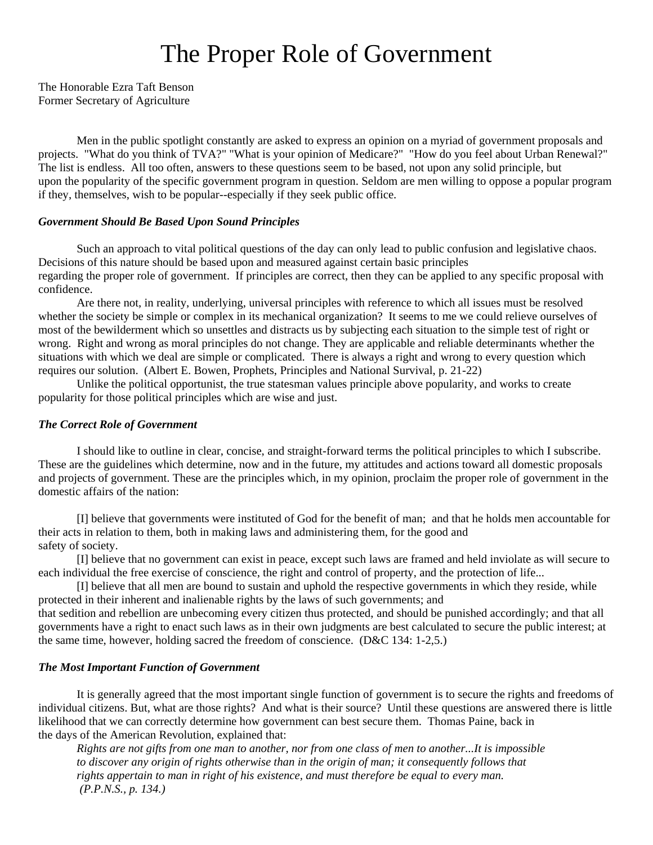# The Proper Role of Government

The Honorable Ezra Taft Benson Former Secretary of Agriculture

Men in the public spotlight constantly are asked to express an opinion on a myriad of government proposals and projects. "What do you think of TVA?" "What is your opinion of Medicare?" "How do you feel about Urban Renewal?" The list is endless. All too often, answers to these questions seem to be based, not upon any solid principle, but upon the popularity of the specific government program in question. Seldom are men willing to oppose a popular program if they, themselves, wish to be popular--especially if they seek public office.

# *Government Should Be Based Upon Sound Principles*

Such an approach to vital political questions of the day can only lead to public confusion and legislative chaos. Decisions of this nature should be based upon and measured against certain basic principles regarding the proper role of government. If principles are correct, then they can be applied to any specific proposal with confidence.

Are there not, in reality, underlying, universal principles with reference to which all issues must be resolved whether the society be simple or complex in its mechanical organization? It seems to me we could relieve ourselves of most of the bewilderment which so unsettles and distracts us by subjecting each situation to the simple test of right or wrong. Right and wrong as moral principles do not change. They are applicable and reliable determinants whether the situations with which we deal are simple or complicated. There is always a right and wrong to every question which requires our solution. (Albert E. Bowen, Prophets, Principles and National Survival, p. 21-22)

Unlike the political opportunist, the true statesman values principle above popularity, and works to create popularity for those political principles which are wise and just.

#### *The Correct Role of Government*

I should like to outline in clear, concise, and straight-forward terms the political principles to which I subscribe. These are the guidelines which determine, now and in the future, my attitudes and actions toward all domestic proposals and projects of government. These are the principles which, in my opinion, proclaim the proper role of government in the domestic affairs of the nation:

[I] believe that governments were instituted of God for the benefit of man; and that he holds men accountable for their acts in relation to them, both in making laws and administering them, for the good and safety of society.

[I] believe that no government can exist in peace, except such laws are framed and held inviolate as will secure to each individual the free exercise of conscience, the right and control of property, and the protection of life...

[I] believe that all men are bound to sustain and uphold the respective governments in which they reside, while protected in their inherent and inalienable rights by the laws of such governments; and that sedition and rebellion are unbecoming every citizen thus protected, and should be punished accordingly; and that all governments have a right to enact such laws as in their own judgments are best calculated to secure the public interest; at the same time, however, holding sacred the freedom of conscience. (D&C 134: 1-2,5.)

## *The Most Important Function of Government*

It is generally agreed that the most important single function of government is to secure the rights and freedoms of individual citizens. But, what are those rights? And what is their source? Until these questions are answered there is little likelihood that we can correctly determine how government can best secure them. Thomas Paine, back in the days of the American Revolution, explained that:

*Rights are not gifts from one man to another, nor from one class of men to another...It is impossible to discover any origin of rights otherwise than in the origin of man; it consequently follows that rights appertain to man in right of his existence, and must therefore be equal to every man. (P.P.N.S., p. 134.)*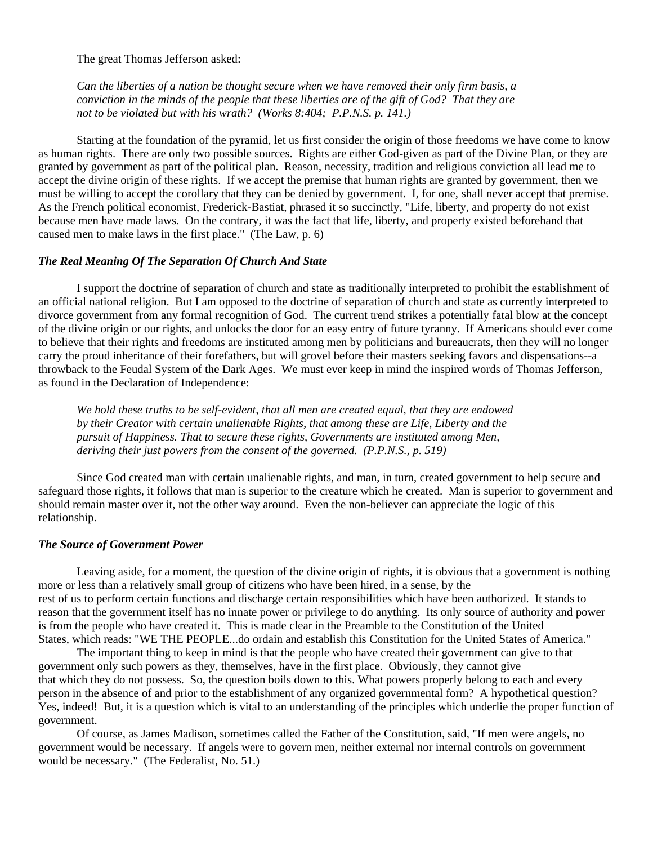The great Thomas Jefferson asked:

*Can the liberties of a nation be thought secure when we have removed their only firm basis, a conviction in the minds of the people that these liberties are of the gift of God? That they are not to be violated but with his wrath? (Works 8:404; P.P.N.S. p. 141.)*

Starting at the foundation of the pyramid, let us first consider the origin of those freedoms we have come to know as human rights. There are only two possible sources. Rights are either God-given as part of the Divine Plan, or they are granted by government as part of the political plan. Reason, necessity, tradition and religious conviction all lead me to accept the divine origin of these rights. If we accept the premise that human rights are granted by government, then we must be willing to accept the corollary that they can be denied by government. I, for one, shall never accept that premise. As the French political economist, Frederick-Bastiat, phrased it so succinctly, "Life, liberty, and property do not exist because men have made laws. On the contrary, it was the fact that life, liberty, and property existed beforehand that caused men to make laws in the first place." (The Law, p. 6)

#### *The Real Meaning Of The Separation Of Church And State*

I support the doctrine of separation of church and state as traditionally interpreted to prohibit the establishment of an official national religion. But I am opposed to the doctrine of separation of church and state as currently interpreted to divorce government from any formal recognition of God. The current trend strikes a potentially fatal blow at the concept of the divine origin or our rights, and unlocks the door for an easy entry of future tyranny. If Americans should ever come to believe that their rights and freedoms are instituted among men by politicians and bureaucrats, then they will no longer carry the proud inheritance of their forefathers, but will grovel before their masters seeking favors and dispensations--a throwback to the Feudal System of the Dark Ages. We must ever keep in mind the inspired words of Thomas Jefferson, as found in the Declaration of Independence:

*We hold these truths to be self-evident, that all men are created equal, that they are endowed by their Creator with certain unalienable Rights, that among these are Life, Liberty and the pursuit of Happiness. That to secure these rights, Governments are instituted among Men, deriving their just powers from the consent of the governed. (P.P.N.S., p. 519)*

Since God created man with certain unalienable rights, and man, in turn, created government to help secure and safeguard those rights, it follows that man is superior to the creature which he created. Man is superior to government and should remain master over it, not the other way around. Even the non-believer can appreciate the logic of this relationship.

### *The Source of Government Power*

Leaving aside, for a moment, the question of the divine origin of rights, it is obvious that a government is nothing more or less than a relatively small group of citizens who have been hired, in a sense, by the rest of us to perform certain functions and discharge certain responsibilities which have been authorized. It stands to reason that the government itself has no innate power or privilege to do anything. Its only source of authority and power is from the people who have created it. This is made clear in the Preamble to the Constitution of the United States, which reads: "WE THE PEOPLE...do ordain and establish this Constitution for the United States of America."

The important thing to keep in mind is that the people who have created their government can give to that government only such powers as they, themselves, have in the first place. Obviously, they cannot give that which they do not possess. So, the question boils down to this. What powers properly belong to each and every person in the absence of and prior to the establishment of any organized governmental form? A hypothetical question? Yes, indeed! But, it is a question which is vital to an understanding of the principles which underlie the proper function of government.

Of course, as James Madison, sometimes called the Father of the Constitution, said, "If men were angels, no government would be necessary. If angels were to govern men, neither external nor internal controls on government would be necessary." (The Federalist, No. 51.)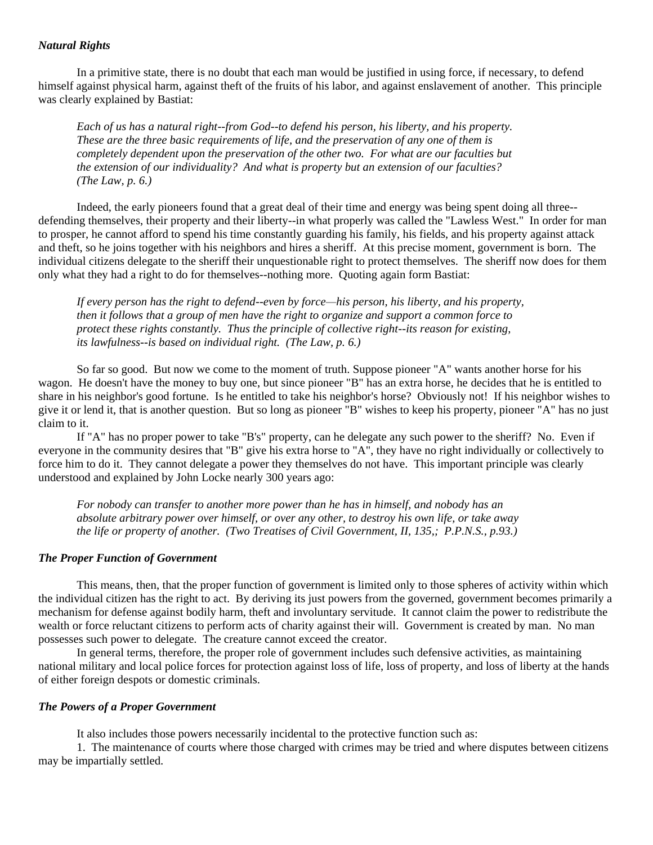# *Natural Rights*

In a primitive state, there is no doubt that each man would be justified in using force, if necessary, to defend himself against physical harm, against theft of the fruits of his labor, and against enslavement of another. This principle was clearly explained by Bastiat:

*Each of us has a natural right--from God--to defend his person, his liberty, and his property. These are the three basic requirements of life, and the preservation of any one of them is completely dependent upon the preservation of the other two. For what are our faculties but the extension of our individuality? And what is property but an extension of our faculties? (The Law, p. 6.)*

Indeed, the early pioneers found that a great deal of their time and energy was being spent doing all three- defending themselves, their property and their liberty--in what properly was called the "Lawless West." In order for man to prosper, he cannot afford to spend his time constantly guarding his family, his fields, and his property against attack and theft, so he joins together with his neighbors and hires a sheriff. At this precise moment, government is born. The individual citizens delegate to the sheriff their unquestionable right to protect themselves. The sheriff now does for them only what they had a right to do for themselves--nothing more. Quoting again form Bastiat:

*If every person has the right to defend--even by force—his person, his liberty, and his property, then it follows that a group of men have the right to organize and support a common force to protect these rights constantly. Thus the principle of collective right--its reason for existing, its lawfulness--is based on individual right. (The Law, p. 6.)*

So far so good. But now we come to the moment of truth. Suppose pioneer "A" wants another horse for his wagon. He doesn't have the money to buy one, but since pioneer "B" has an extra horse, he decides that he is entitled to share in his neighbor's good fortune. Is he entitled to take his neighbor's horse? Obviously not! If his neighbor wishes to give it or lend it, that is another question. But so long as pioneer "B" wishes to keep his property, pioneer "A" has no just claim to it.

If "A" has no proper power to take "B's" property, can he delegate any such power to the sheriff? No. Even if everyone in the community desires that "B" give his extra horse to "A", they have no right individually or collectively to force him to do it. They cannot delegate a power they themselves do not have. This important principle was clearly understood and explained by John Locke nearly 300 years ago:

*For nobody can transfer to another more power than he has in himself, and nobody has an absolute arbitrary power over himself, or over any other, to destroy his own life, or take away the life or property of another. (Two Treatises of Civil Government, II, 135,; P.P.N.S., p.93.)*

## *The Proper Function of Government*

This means, then, that the proper function of government is limited only to those spheres of activity within which the individual citizen has the right to act. By deriving its just powers from the governed, government becomes primarily a mechanism for defense against bodily harm, theft and involuntary servitude. It cannot claim the power to redistribute the wealth or force reluctant citizens to perform acts of charity against their will. Government is created by man. No man possesses such power to delegate. The creature cannot exceed the creator.

In general terms, therefore, the proper role of government includes such defensive activities, as maintaining national military and local police forces for protection against loss of life, loss of property, and loss of liberty at the hands of either foreign despots or domestic criminals.

## *The Powers of a Proper Government*

It also includes those powers necessarily incidental to the protective function such as:

1. The maintenance of courts where those charged with crimes may be tried and where disputes between citizens may be impartially settled.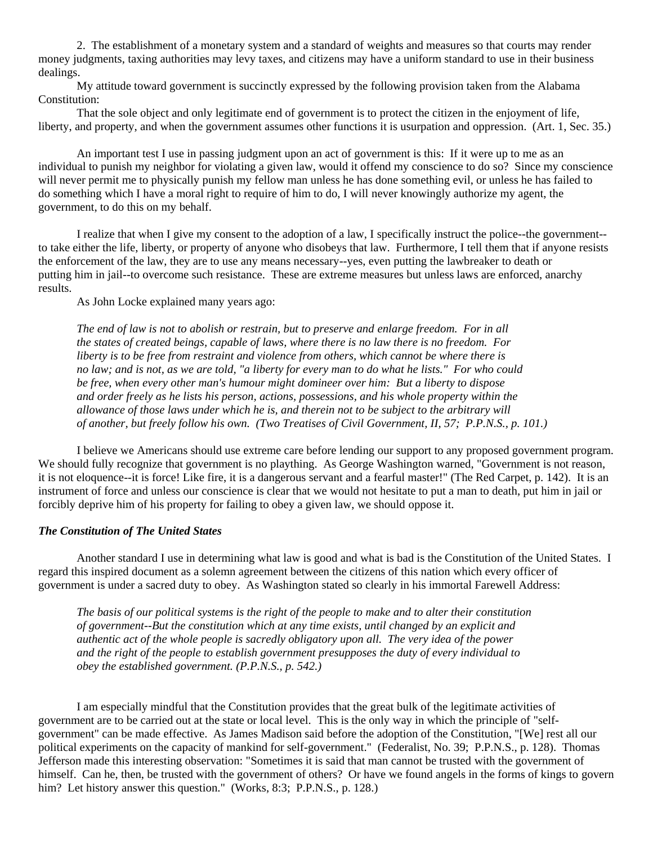2. The establishment of a monetary system and a standard of weights and measures so that courts may render money judgments, taxing authorities may levy taxes, and citizens may have a uniform standard to use in their business dealings.

My attitude toward government is succinctly expressed by the following provision taken from the Alabama Constitution:

That the sole object and only legitimate end of government is to protect the citizen in the enjoyment of life, liberty, and property, and when the government assumes other functions it is usurpation and oppression. (Art. 1, Sec. 35.)

An important test I use in passing judgment upon an act of government is this: If it were up to me as an individual to punish my neighbor for violating a given law, would it offend my conscience to do so? Since my conscience will never permit me to physically punish my fellow man unless he has done something evil, or unless he has failed to do something which I have a moral right to require of him to do, I will never knowingly authorize my agent, the government, to do this on my behalf.

I realize that when I give my consent to the adoption of a law, I specifically instruct the police--the government- to take either the life, liberty, or property of anyone who disobeys that law. Furthermore, I tell them that if anyone resists the enforcement of the law, they are to use any means necessary--yes, even putting the lawbreaker to death or putting him in jail--to overcome such resistance. These are extreme measures but unless laws are enforced, anarchy results.

As John Locke explained many years ago:

*The end of law is not to abolish or restrain, but to preserve and enlarge freedom. For in all the states of created beings, capable of laws, where there is no law there is no freedom. For liberty is to be free from restraint and violence from others, which cannot be where there is no law; and is not, as we are told, "a liberty for every man to do what he lists." For who could be free, when every other man's humour might domineer over him: But a liberty to dispose and order freely as he lists his person, actions, possessions, and his whole property within the allowance of those laws under which he is, and therein not to be subject to the arbitrary will of another, but freely follow his own. (Two Treatises of Civil Government, II, 57; P.P.N.S., p. 101.)*

I believe we Americans should use extreme care before lending our support to any proposed government program. We should fully recognize that government is no plaything. As George Washington warned, "Government is not reason, it is not eloquence--it is force! Like fire, it is a dangerous servant and a fearful master!" (The Red Carpet, p. 142). It is an instrument of force and unless our conscience is clear that we would not hesitate to put a man to death, put him in jail or forcibly deprive him of his property for failing to obey a given law, we should oppose it.

# *The Constitution of The United States*

Another standard I use in determining what law is good and what is bad is the Constitution of the United States. I regard this inspired document as a solemn agreement between the citizens of this nation which every officer of government is under a sacred duty to obey. As Washington stated so clearly in his immortal Farewell Address:

*The basis of our political systems is the right of the people to make and to alter their constitution of government--But the constitution which at any time exists, until changed by an explicit and authentic act of the whole people is sacredly obligatory upon all. The very idea of the power and the right of the people to establish government presupposes the duty of every individual to obey the established government. (P.P.N.S., p. 542.)*

I am especially mindful that the Constitution provides that the great bulk of the legitimate activities of government are to be carried out at the state or local level. This is the only way in which the principle of "selfgovernment" can be made effective. As James Madison said before the adoption of the Constitution, "[We] rest all our political experiments on the capacity of mankind for self-government." (Federalist, No. 39; P.P.N.S., p. 128). Thomas Jefferson made this interesting observation: "Sometimes it is said that man cannot be trusted with the government of himself. Can he, then, be trusted with the government of others? Or have we found angels in the forms of kings to govern him? Let history answer this question." (Works, 8:3; P.P.N.S., p. 128.)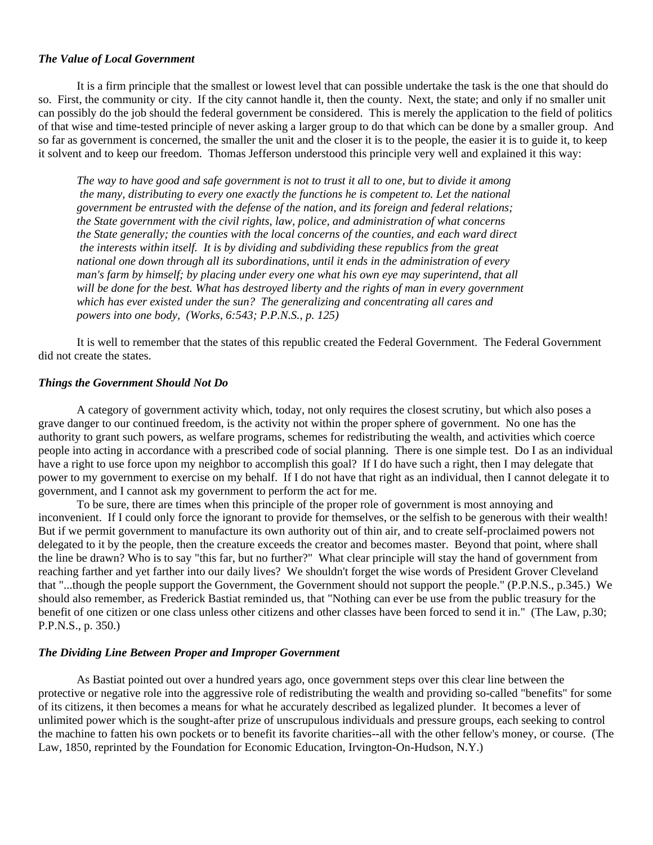#### *The Value of Local Government*

It is a firm principle that the smallest or lowest level that can possible undertake the task is the one that should do so. First, the community or city. If the city cannot handle it, then the county. Next, the state; and only if no smaller unit can possibly do the job should the federal government be considered. This is merely the application to the field of politics of that wise and time-tested principle of never asking a larger group to do that which can be done by a smaller group. And so far as government is concerned, the smaller the unit and the closer it is to the people, the easier it is to guide it, to keep it solvent and to keep our freedom. Thomas Jefferson understood this principle very well and explained it this way:

*The way to have good and safe government is not to trust it all to one, but to divide it among the many, distributing to every one exactly the functions he is competent to. Let the national government be entrusted with the defense of the nation, and its foreign and federal relations; the State government with the civil rights, law, police, and administration of what concerns the State generally; the counties with the local concerns of the counties, and each ward direct the interests within itself. It is by dividing and subdividing these republics from the great national one down through all its subordinations, until it ends in the administration of every man's farm by himself; by placing under every one what his own eye may superintend, that all will be done for the best. What has destroyed liberty and the rights of man in every government which has ever existed under the sun? The generalizing and concentrating all cares and powers into one body, (Works, 6:543; P.P.N.S., p. 125)*

It is well to remember that the states of this republic created the Federal Government. The Federal Government did not create the states.

#### *Things the Government Should Not Do*

A category of government activity which, today, not only requires the closest scrutiny, but which also poses a grave danger to our continued freedom, is the activity not within the proper sphere of government. No one has the authority to grant such powers, as welfare programs, schemes for redistributing the wealth, and activities which coerce people into acting in accordance with a prescribed code of social planning. There is one simple test. Do I as an individual have a right to use force upon my neighbor to accomplish this goal? If I do have such a right, then I may delegate that power to my government to exercise on my behalf. If I do not have that right as an individual, then I cannot delegate it to government, and I cannot ask my government to perform the act for me.

To be sure, there are times when this principle of the proper role of government is most annoying and inconvenient. If I could only force the ignorant to provide for themselves, or the selfish to be generous with their wealth! But if we permit government to manufacture its own authority out of thin air, and to create self-proclaimed powers not delegated to it by the people, then the creature exceeds the creator and becomes master. Beyond that point, where shall the line be drawn? Who is to say "this far, but no further?" What clear principle will stay the hand of government from reaching farther and yet farther into our daily lives? We shouldn't forget the wise words of President Grover Cleveland that "...though the people support the Government, the Government should not support the people." (P.P.N.S., p.345.) We should also remember, as Frederick Bastiat reminded us, that "Nothing can ever be use from the public treasury for the benefit of one citizen or one class unless other citizens and other classes have been forced to send it in." (The Law, p.30; P.P.N.S., p. 350.)

#### *The Dividing Line Between Proper and Improper Government*

As Bastiat pointed out over a hundred years ago, once government steps over this clear line between the protective or negative role into the aggressive role of redistributing the wealth and providing so-called "benefits" for some of its citizens, it then becomes a means for what he accurately described as legalized plunder. It becomes a lever of unlimited power which is the sought-after prize of unscrupulous individuals and pressure groups, each seeking to control the machine to fatten his own pockets or to benefit its favorite charities--all with the other fellow's money, or course. (The Law, 1850, reprinted by the Foundation for Economic Education, Irvington-On-Hudson, N.Y.)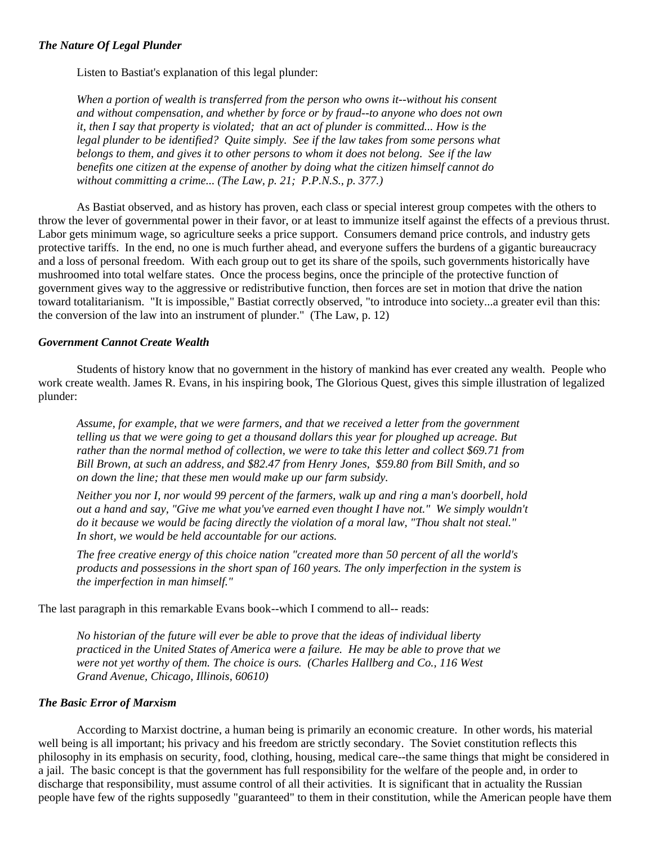## *The Nature Of Legal Plunder*

Listen to Bastiat's explanation of this legal plunder:

*When a portion of wealth is transferred from the person who owns it--without his consent and without compensation, and whether by force or by fraud--to anyone who does not own it, then I say that property is violated; that an act of plunder is committed... How is the legal plunder to be identified? Quite simply. See if the law takes from some persons what belongs to them, and gives it to other persons to whom it does not belong. See if the law benefits one citizen at the expense of another by doing what the citizen himself cannot do without committing a crime... (The Law, p. 21; P.P.N.S., p. 377.)*

As Bastiat observed, and as history has proven, each class or special interest group competes with the others to throw the lever of governmental power in their favor, or at least to immunize itself against the effects of a previous thrust. Labor gets minimum wage, so agriculture seeks a price support. Consumers demand price controls, and industry gets protective tariffs. In the end, no one is much further ahead, and everyone suffers the burdens of a gigantic bureaucracy and a loss of personal freedom. With each group out to get its share of the spoils, such governments historically have mushroomed into total welfare states. Once the process begins, once the principle of the protective function of government gives way to the aggressive or redistributive function, then forces are set in motion that drive the nation toward totalitarianism. "It is impossible," Bastiat correctly observed, "to introduce into society...a greater evil than this: the conversion of the law into an instrument of plunder." (The Law, p. 12)

## *Government Cannot Create Wealth*

Students of history know that no government in the history of mankind has ever created any wealth. People who work create wealth. James R. Evans, in his inspiring book, The Glorious Quest, gives this simple illustration of legalized plunder:

*Assume, for example, that we were farmers, and that we received a letter from the government telling us that we were going to get a thousand dollars this year for ploughed up acreage. But rather than the normal method of collection, we were to take this letter and collect \$69.71 from Bill Brown, at such an address, and \$82.47 from Henry Jones, \$59.80 from Bill Smith, and so on down the line; that these men would make up our farm subsidy.*

*Neither you nor I, nor would 99 percent of the farmers, walk up and ring a man's doorbell, hold out a hand and say, "Give me what you've earned even thought I have not." We simply wouldn't do it because we would be facing directly the violation of a moral law, "Thou shalt not steal." In short, we would be held accountable for our actions.*

*The free creative energy of this choice nation "created more than 50 percent of all the world's products and possessions in the short span of 160 years. The only imperfection in the system is the imperfection in man himself."*

The last paragraph in this remarkable Evans book--which I commend to all-- reads:

*No historian of the future will ever be able to prove that the ideas of individual liberty practiced in the United States of America were a failure. He may be able to prove that we were not yet worthy of them. The choice is ours. (Charles Hallberg and Co., 116 West Grand Avenue, Chicago, Illinois, 60610)*

## *The Basic Error of Marxism*

According to Marxist doctrine, a human being is primarily an economic creature. In other words, his material well being is all important; his privacy and his freedom are strictly secondary. The Soviet constitution reflects this philosophy in its emphasis on security, food, clothing, housing, medical care--the same things that might be considered in a jail. The basic concept is that the government has full responsibility for the welfare of the people and, in order to discharge that responsibility, must assume control of all their activities. It is significant that in actuality the Russian people have few of the rights supposedly "guaranteed" to them in their constitution, while the American people have them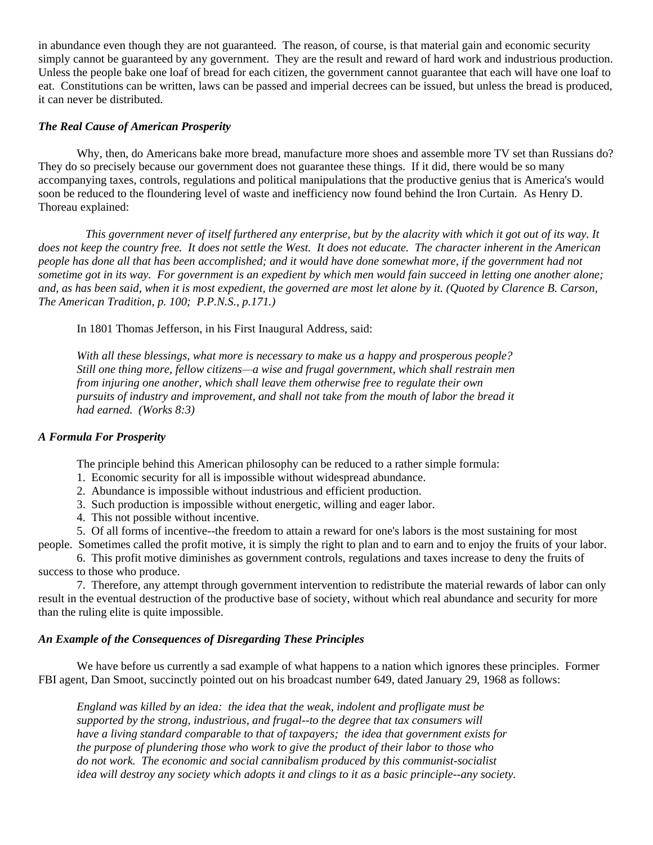in abundance even though they are not guaranteed. The reason, of course, is that material gain and economic security simply cannot be guaranteed by any government. They are the result and reward of hard work and industrious production. Unless the people bake one loaf of bread for each citizen, the government cannot guarantee that each will have one loaf to eat. Constitutions can be written, laws can be passed and imperial decrees can be issued, but unless the bread is produced, it can never be distributed.

# *The Real Cause of American Prosperity*

Why, then, do Americans bake more bread, manufacture more shoes and assemble more TV set than Russians do? They do so precisely because our government does not guarantee these things. If it did, there would be so many accompanying taxes, controls, regulations and political manipulations that the productive genius that is America's would soon be reduced to the floundering level of waste and inefficiency now found behind the Iron Curtain. As Henry D. Thoreau explained:

 *This government never of itself furthered any enterprise, but by the alacrity with which it got out of its way. It does not keep the country free. It does not settle the West. It does not educate. The character inherent in the American people has done all that has been accomplished; and it would have done somewhat more, if the government had not sometime got in its way. For government is an expedient by which men would fain succeed in letting one another alone; and, as has been said, when it is most expedient, the governed are most let alone by it. (Quoted by Clarence B. Carson, The American Tradition, p. 100; P.P.N.S., p.171.)*

In 1801 Thomas Jefferson, in his First Inaugural Address, said:

*With all these blessings, what more is necessary to make us a happy and prosperous people? Still one thing more, fellow citizens—a wise and frugal government, which shall restrain men from injuring one another, which shall leave them otherwise free to regulate their own pursuits of industry and improvement, and shall not take from the mouth of labor the bread it had earned. (Works 8:3)*

# *A Formula For Prosperity*

The principle behind this American philosophy can be reduced to a rather simple formula:

- 1. Economic security for all is impossible without widespread abundance.
- 2. Abundance is impossible without industrious and efficient production.
- 3. Such production is impossible without energetic, willing and eager labor.
- 4. This not possible without incentive.

5. Of all forms of incentive--the freedom to attain a reward for one's labors is the most sustaining for most

people. Sometimes called the profit motive, it is simply the right to plan and to earn and to enjoy the fruits of your labor. 6. This profit motive diminishes as government controls, regulations and taxes increase to deny the fruits of

success to those who produce.

7. Therefore, any attempt through government intervention to redistribute the material rewards of labor can only result in the eventual destruction of the productive base of society, without which real abundance and security for more than the ruling elite is quite impossible.

# *An Example of the Consequences of Disregarding These Principles*

We have before us currently a sad example of what happens to a nation which ignores these principles. Former FBI agent, Dan Smoot, succinctly pointed out on his broadcast number 649, dated January 29, 1968 as follows:

*England was killed by an idea: the idea that the weak, indolent and profligate must be supported by the strong, industrious, and frugal--to the degree that tax consumers will have a living standard comparable to that of taxpayers; the idea that government exists for the purpose of plundering those who work to give the product of their labor to those who do not work. The economic and social cannibalism produced by this communist-socialist idea will destroy any society which adopts it and clings to it as a basic principle--any society.*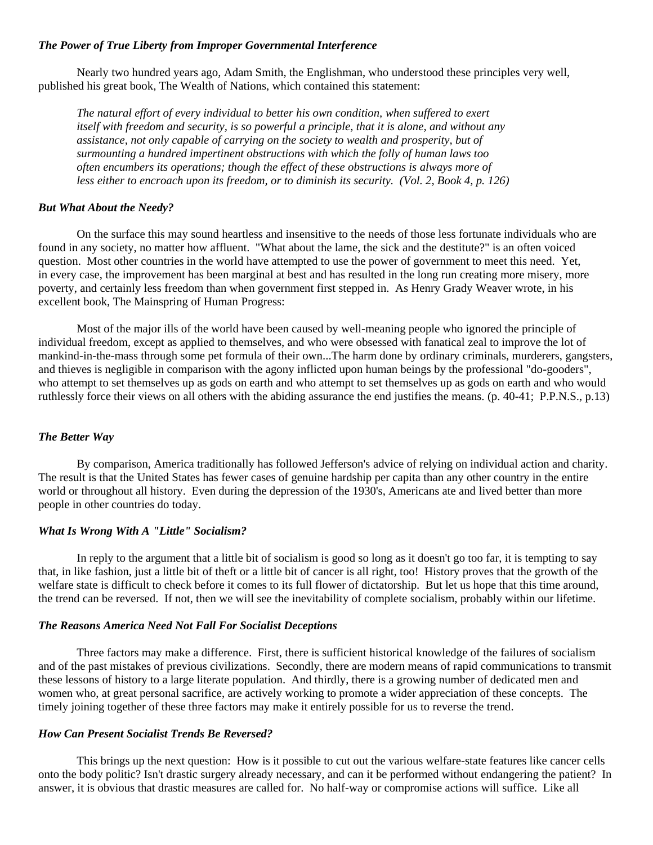### *The Power of True Liberty from Improper Governmental Interference*

Nearly two hundred years ago, Adam Smith, the Englishman, who understood these principles very well, published his great book, The Wealth of Nations, which contained this statement:

*The natural effort of every individual to better his own condition, when suffered to exert itself with freedom and security, is so powerful a principle, that it is alone, and without any assistance, not only capable of carrying on the society to wealth and prosperity, but of surmounting a hundred impertinent obstructions with which the folly of human laws too often encumbers its operations; though the effect of these obstructions is always more of less either to encroach upon its freedom, or to diminish its security. (Vol. 2, Book 4, p. 126)*

#### *But What About the Needy?*

On the surface this may sound heartless and insensitive to the needs of those less fortunate individuals who are found in any society, no matter how affluent. "What about the lame, the sick and the destitute?" is an often voiced question. Most other countries in the world have attempted to use the power of government to meet this need. Yet, in every case, the improvement has been marginal at best and has resulted in the long run creating more misery, more poverty, and certainly less freedom than when government first stepped in. As Henry Grady Weaver wrote, in his excellent book, The Mainspring of Human Progress:

Most of the major ills of the world have been caused by well-meaning people who ignored the principle of individual freedom, except as applied to themselves, and who were obsessed with fanatical zeal to improve the lot of mankind-in-the-mass through some pet formula of their own...The harm done by ordinary criminals, murderers, gangsters, and thieves is negligible in comparison with the agony inflicted upon human beings by the professional "do-gooders", who attempt to set themselves up as gods on earth and who attempt to set themselves up as gods on earth and who would ruthlessly force their views on all others with the abiding assurance the end justifies the means. (p. 40-41; P.P.N.S., p.13)

#### *The Better Way*

By comparison, America traditionally has followed Jefferson's advice of relying on individual action and charity. The result is that the United States has fewer cases of genuine hardship per capita than any other country in the entire world or throughout all history. Even during the depression of the 1930's, Americans ate and lived better than more people in other countries do today.

## *What Is Wrong With A "Little" Socialism?*

In reply to the argument that a little bit of socialism is good so long as it doesn't go too far, it is tempting to say that, in like fashion, just a little bit of theft or a little bit of cancer is all right, too! History proves that the growth of the welfare state is difficult to check before it comes to its full flower of dictatorship. But let us hope that this time around, the trend can be reversed. If not, then we will see the inevitability of complete socialism, probably within our lifetime.

#### *The Reasons America Need Not Fall For Socialist Deceptions*

Three factors may make a difference. First, there is sufficient historical knowledge of the failures of socialism and of the past mistakes of previous civilizations. Secondly, there are modern means of rapid communications to transmit these lessons of history to a large literate population. And thirdly, there is a growing number of dedicated men and women who, at great personal sacrifice, are actively working to promote a wider appreciation of these concepts. The timely joining together of these three factors may make it entirely possible for us to reverse the trend.

## *How Can Present Socialist Trends Be Reversed?*

This brings up the next question: How is it possible to cut out the various welfare-state features like cancer cells onto the body politic? Isn't drastic surgery already necessary, and can it be performed without endangering the patient? In answer, it is obvious that drastic measures are called for. No half-way or compromise actions will suffice. Like all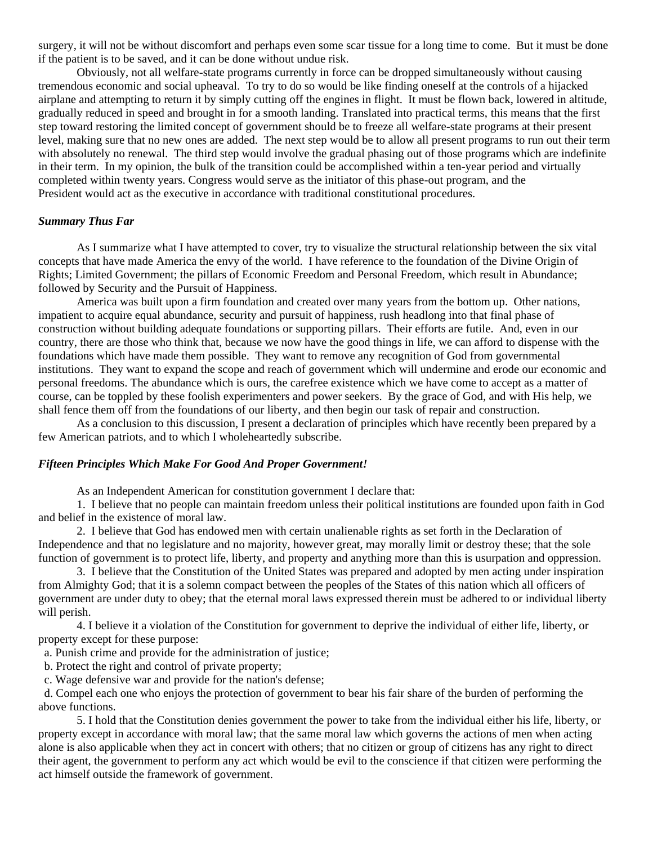surgery, it will not be without discomfort and perhaps even some scar tissue for a long time to come. But it must be done if the patient is to be saved, and it can be done without undue risk.

Obviously, not all welfare-state programs currently in force can be dropped simultaneously without causing tremendous economic and social upheaval. To try to do so would be like finding oneself at the controls of a hijacked airplane and attempting to return it by simply cutting off the engines in flight. It must be flown back, lowered in altitude, gradually reduced in speed and brought in for a smooth landing. Translated into practical terms, this means that the first step toward restoring the limited concept of government should be to freeze all welfare-state programs at their present level, making sure that no new ones are added. The next step would be to allow all present programs to run out their term with absolutely no renewal. The third step would involve the gradual phasing out of those programs which are indefinite in their term. In my opinion, the bulk of the transition could be accomplished within a ten-year period and virtually completed within twenty years. Congress would serve as the initiator of this phase-out program, and the President would act as the executive in accordance with traditional constitutional procedures.

## *Summary Thus Far*

As I summarize what I have attempted to cover, try to visualize the structural relationship between the six vital concepts that have made America the envy of the world. I have reference to the foundation of the Divine Origin of Rights; Limited Government; the pillars of Economic Freedom and Personal Freedom, which result in Abundance; followed by Security and the Pursuit of Happiness.

America was built upon a firm foundation and created over many years from the bottom up. Other nations, impatient to acquire equal abundance, security and pursuit of happiness, rush headlong into that final phase of construction without building adequate foundations or supporting pillars. Their efforts are futile. And, even in our country, there are those who think that, because we now have the good things in life, we can afford to dispense with the foundations which have made them possible. They want to remove any recognition of God from governmental institutions. They want to expand the scope and reach of government which will undermine and erode our economic and personal freedoms. The abundance which is ours, the carefree existence which we have come to accept as a matter of course, can be toppled by these foolish experimenters and power seekers. By the grace of God, and with His help, we shall fence them off from the foundations of our liberty, and then begin our task of repair and construction.

As a conclusion to this discussion, I present a declaration of principles which have recently been prepared by a few American patriots, and to which I wholeheartedly subscribe.

## *Fifteen Principles Which Make For Good And Proper Government!*

As an Independent American for constitution government I declare that:

1. I believe that no people can maintain freedom unless their political institutions are founded upon faith in God and belief in the existence of moral law.

2. I believe that God has endowed men with certain unalienable rights as set forth in the Declaration of Independence and that no legislature and no majority, however great, may morally limit or destroy these; that the sole function of government is to protect life, liberty, and property and anything more than this is usurpation and oppression.

3. I believe that the Constitution of the United States was prepared and adopted by men acting under inspiration from Almighty God; that it is a solemn compact between the peoples of the States of this nation which all officers of government are under duty to obey; that the eternal moral laws expressed therein must be adhered to or individual liberty will perish.

4. I believe it a violation of the Constitution for government to deprive the individual of either life, liberty, or property except for these purpose:

a. Punish crime and provide for the administration of justice;

b. Protect the right and control of private property;

c. Wage defensive war and provide for the nation's defense;

 d. Compel each one who enjoys the protection of government to bear his fair share of the burden of performing the above functions.

5. I hold that the Constitution denies government the power to take from the individual either his life, liberty, or property except in accordance with moral law; that the same moral law which governs the actions of men when acting alone is also applicable when they act in concert with others; that no citizen or group of citizens has any right to direct their agent, the government to perform any act which would be evil to the conscience if that citizen were performing the act himself outside the framework of government.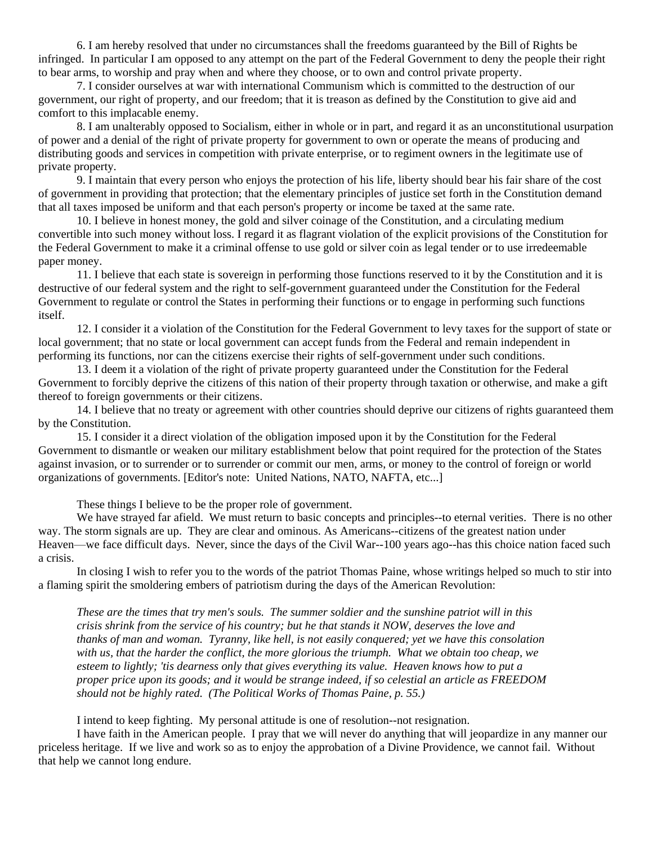6. I am hereby resolved that under no circumstances shall the freedoms guaranteed by the Bill of Rights be infringed. In particular I am opposed to any attempt on the part of the Federal Government to deny the people their right to bear arms, to worship and pray when and where they choose, or to own and control private property.

7. I consider ourselves at war with international Communism which is committed to the destruction of our government, our right of property, and our freedom; that it is treason as defined by the Constitution to give aid and comfort to this implacable enemy.

8. I am unalterably opposed to Socialism, either in whole or in part, and regard it as an unconstitutional usurpation of power and a denial of the right of private property for government to own or operate the means of producing and distributing goods and services in competition with private enterprise, or to regiment owners in the legitimate use of private property.

9. I maintain that every person who enjoys the protection of his life, liberty should bear his fair share of the cost of government in providing that protection; that the elementary principles of justice set forth in the Constitution demand that all taxes imposed be uniform and that each person's property or income be taxed at the same rate.

10. I believe in honest money, the gold and silver coinage of the Constitution, and a circulating medium convertible into such money without loss. I regard it as flagrant violation of the explicit provisions of the Constitution for the Federal Government to make it a criminal offense to use gold or silver coin as legal tender or to use irredeemable paper money.

11. I believe that each state is sovereign in performing those functions reserved to it by the Constitution and it is destructive of our federal system and the right to self-government guaranteed under the Constitution for the Federal Government to regulate or control the States in performing their functions or to engage in performing such functions itself.

12. I consider it a violation of the Constitution for the Federal Government to levy taxes for the support of state or local government; that no state or local government can accept funds from the Federal and remain independent in performing its functions, nor can the citizens exercise their rights of self-government under such conditions.

13. I deem it a violation of the right of private property guaranteed under the Constitution for the Federal Government to forcibly deprive the citizens of this nation of their property through taxation or otherwise, and make a gift thereof to foreign governments or their citizens.

14. I believe that no treaty or agreement with other countries should deprive our citizens of rights guaranteed them by the Constitution.

15. I consider it a direct violation of the obligation imposed upon it by the Constitution for the Federal Government to dismantle or weaken our military establishment below that point required for the protection of the States against invasion, or to surrender or to surrender or commit our men, arms, or money to the control of foreign or world organizations of governments. [Editor's note: United Nations, NATO, NAFTA, etc...]

These things I believe to be the proper role of government.

We have strayed far afield. We must return to basic concepts and principles--to eternal verities. There is no other way. The storm signals are up. They are clear and ominous. As Americans--citizens of the greatest nation under Heaven—we face difficult days. Never, since the days of the Civil War--100 years ago--has this choice nation faced such a crisis.

In closing I wish to refer you to the words of the patriot Thomas Paine, whose writings helped so much to stir into a flaming spirit the smoldering embers of patriotism during the days of the American Revolution:

*These are the times that try men's souls. The summer soldier and the sunshine patriot will in this crisis shrink from the service of his country; but he that stands it NOW, deserves the love and thanks of man and woman. Tyranny, like hell, is not easily conquered; yet we have this consolation with us, that the harder the conflict, the more glorious the triumph. What we obtain too cheap, we esteem to lightly; 'tis dearness only that gives everything its value. Heaven knows how to put a proper price upon its goods; and it would be strange indeed, if so celestial an article as FREEDOM should not be highly rated. (The Political Works of Thomas Paine, p. 55.)*

I intend to keep fighting. My personal attitude is one of resolution--not resignation.

I have faith in the American people. I pray that we will never do anything that will jeopardize in any manner our priceless heritage. If we live and work so as to enjoy the approbation of a Divine Providence, we cannot fail. Without that help we cannot long endure.